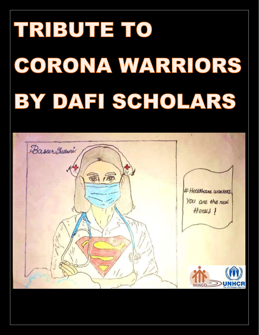## TRIBUTE TO CORONA WARRIORS BY DAFI SCHOLARS

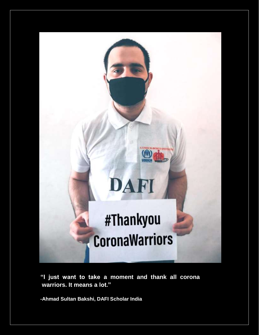

 **"I just want to take a moment and thank all corona warriors. It means a lot."**

 **-Ahmad Sultan Bakshi, DAFI Scholar India**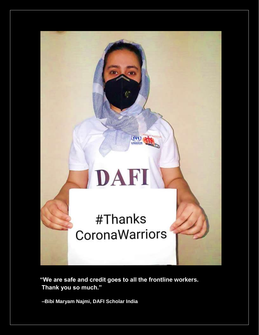

**"We are safe and credit goes to all the frontline workers. Thank you so much."**

 **–Bibi Maryam Najmi, DAFI Scholar India**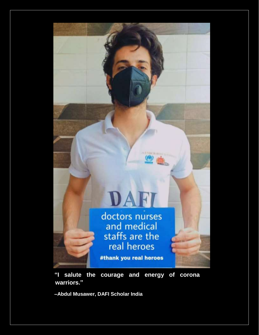

 **"I salute the courage and energy of corona warriors."**

 **–Abdul Musawer, DAFI Scholar India**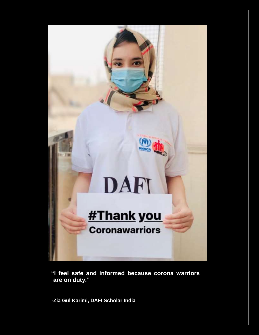

 **"I feel safe and informed because corona warriors are on duty."** 

 **-Zia Gul Karimi, DAFI Scholar India**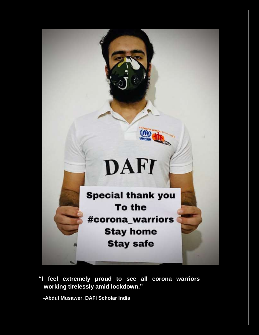

 **"I feel extremely proud to see all corona warriors working tirelessly amid lockdown."**

 **-Abdul Musawer, DAFI Scholar India**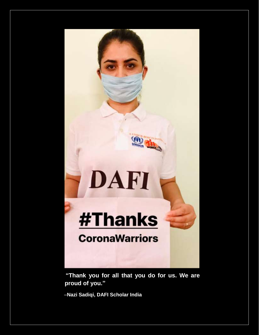## **#Thanks CoronaWarriors**

DAFI

 **"Thank you for all that you do for us. We are proud of you."**

–**Nazi Sadiqi, DAFI Scholar India**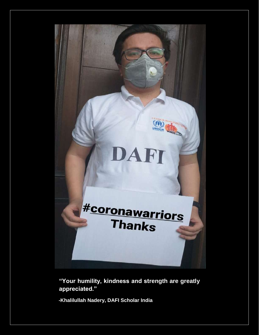

 **"Your humility, kindness and strength are greatly appreciated."**

 **-Khalilullah Nadery, DAFI Scholar India**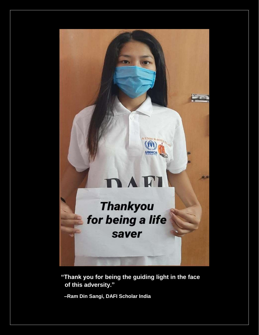

 **"Thank you for being the guiding light in the face of this adversity."**

 **–Ram Din Sangi, DAFI Scholar India**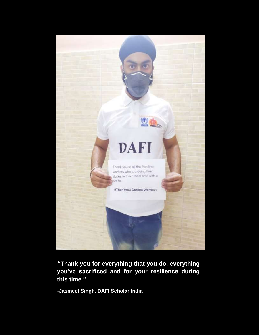

 **"Thank you for everything that you do, everything you've sacrificed and for your resilience during this time."**

 **-Jasmeet Singh, DAFI Scholar India**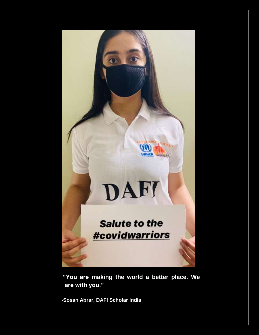

 **"You are making the world a better place. We are with you."**

 **-Sosan Abrar, DAFI Scholar India**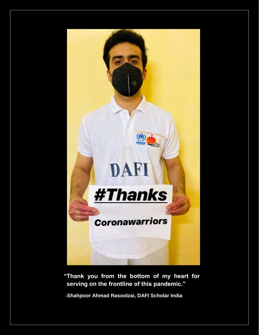

 **"Thank you from the bottom of my heart for serving on the frontline of this pandemic."**

 **-Shahpoor Ahmad Rasoolzai, DAFI Scholar India**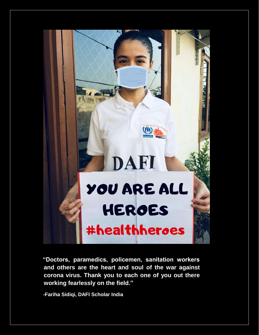

 **"Doctors, paramedics, policemen, sanitation workers and others are the heart and soul of the war against corona virus. Thank you to each one of you out there working fearlessly on the field."**

 **-Fariha Sidiqi, DAFI Scholar India**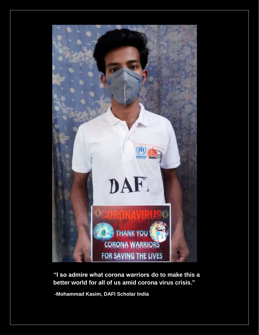

 **"I so admire what corona warriors do to make this a better world for all of us amid corona virus crisis."**

 **-Mohammad Kasim, DAFI Scholar India**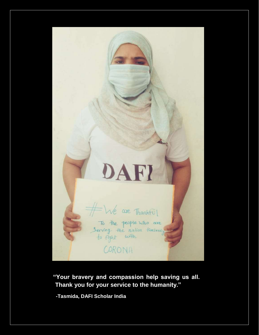

 **"Your bravery and compassion help saving us all. Thank you for your service to the humanity."**

 **-Tasmida, DAFI Scholar India**